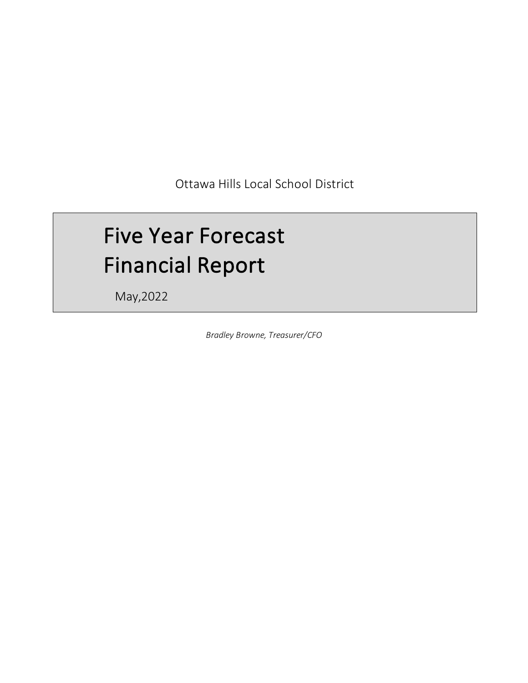Ottawa Hills Local School District

# Five Year Forecast Financial Report

May,2022

*Bradley Browne, Treasurer/CFO*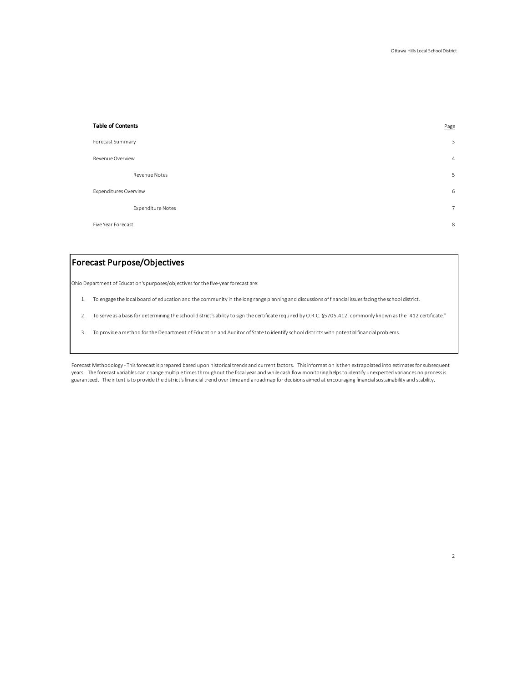2

| <b>Table of Contents</b> | Page           |
|--------------------------|----------------|
| Forecast Summary         | 3              |
| Revenue Overview         | $\overline{4}$ |
| Revenue Notes            | 5              |
| Expenditures Overview    | 6              |
| Expenditure Notes        | $\overline{7}$ |
| Five Year Forecast       | 8              |

# Forecast Purpose/Objectives

Ohio Department of Education's purposes/objectives for the five-year forecast are:

- 1. To engage the local board of education and the community in the long range planning and discussions of financial issues facing the school district.
- 2. To serve as a basis for determining the school district's ability to sign the certificate required by O.R.C. §5705.412, commonly known as the "412 certificate."
- 3. To provide a method for the Department of Education and Auditor of State to identify school districts with potential financial problems.

Forecast Methodology - This forecast is prepared based upon historical trends and current factors. This information is then extrapolated into estimates for subsequent years. The forecast variables can change multiple times throughout the fiscal year and while cash flow monitoring helps to identify unexpected variances no process is guaranteed. The intent is to provide the district's financial trend over time and a roadmap for decisions aimed at encouraging financial sustainability and stability.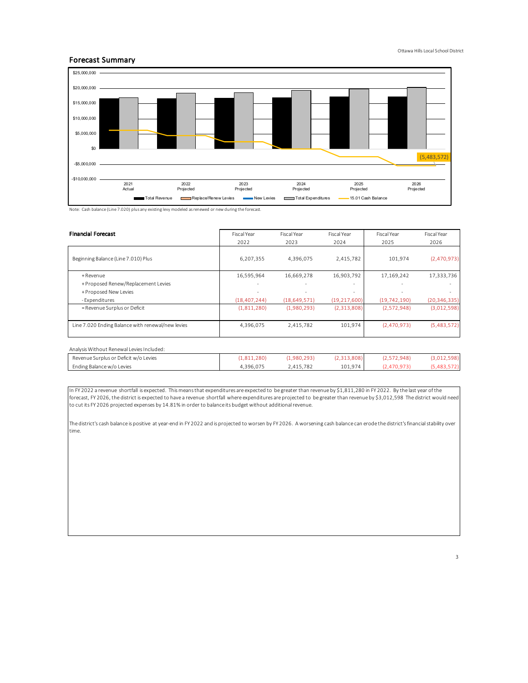## Forecast Summary



Note: Cash balance (Line 7.020) plus any existing levy modeled as renewed or new during the forecast.

| <b>Financial Forecast</b>                         | Fiscal Year    | Fiscal Year<br>2022<br>2023 |                          | Fiscal Year              | Fiscal Year    |
|---------------------------------------------------|----------------|-----------------------------|--------------------------|--------------------------|----------------|
|                                                   |                |                             | 2024                     | 2025                     | 2026           |
| Beginning Balance (Line 7.010) Plus               | 6,207,355      | 4,396,075                   | 2,415,782                | 101.974                  | (2,470,973)    |
| + Revenue                                         | 16,595,964     | 16,669,278                  | 16,903,792               | 17,169,242               | 17,333,736     |
| + Proposed Renew/Replacement Levies               | ٠              | ٠                           | <b>.</b>                 | $\overline{\phantom{a}}$ |                |
| + Proposed New Levies                             | ۰              | ٠                           | $\overline{\phantom{a}}$ | $\overline{\phantom{a}}$ |                |
| - Expenditures                                    | (18, 407, 244) | (18, 649, 571)              | (19, 217, 600)           | (19, 742, 190)           | (20, 346, 335) |
| = Revenue Surplus or Deficit                      | (1,811,280)    | (1,980,293)                 | (2,313,808)              | (2,572,948)              | (3,012,598)    |
|                                                   |                |                             |                          |                          |                |
| Line 7.020 Ending Balance with renewal/new levies | 4,396,075      | 2,415,782                   | 101,974                  | (2,470,973)              | (5,483,572)    |
|                                                   |                |                             |                          |                          |                |

| Analysis Without Renewal Levies Included: |             |             |             |             |             |
|-------------------------------------------|-------------|-------------|-------------|-------------|-------------|
| Revenue Surplus or Deficit w/o Levies     | (1.811.280) | (1.980.293) | (2,313,808) | (2.572.948) | (3,012,598) |
| Ending Balance w/o Levies                 | 4.396.075   | 2.415.782   | 101.974     | (2.470.973  | (5.483.572) |

In FY 2022 a revenue shortfall is expected. This means that expenditures are expected to be greater than revenue by \$1,811,280 in FY 2022. By the last year of the forecast, FY 2026, the district is expected to have a revenue shortfall where expenditures are projected to be greater than revenue by \$3,012,598 The district would need to cut its FY 2026 projected expenses by 14.81% in order to balance its budget without additional revenue.

The district's cash balance is positive at year-end in FY 2022 and is projected to worsen by FY 2026. A worsening cash balance can erode the district's financial stability over time.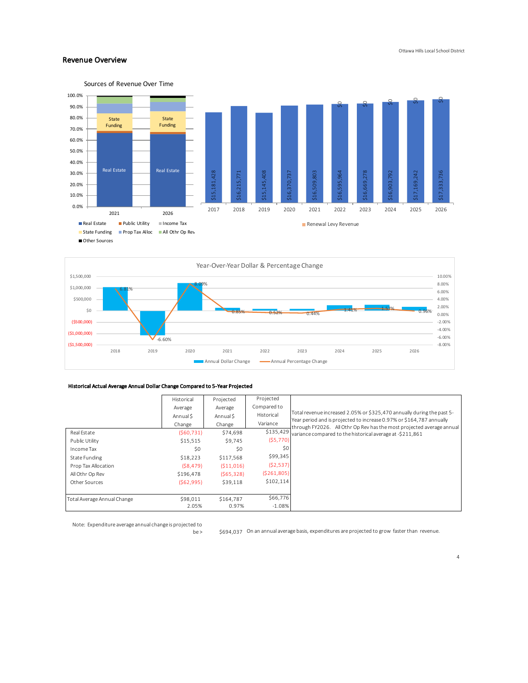## Revenue Overview





## Historical Actual Average Annual Dollar Change Compared to 5-Year Projected

|                             | Historical | Projected  | Projected     |                                                                                                                                                |
|-----------------------------|------------|------------|---------------|------------------------------------------------------------------------------------------------------------------------------------------------|
|                             | Average    | Average    | Compared to   |                                                                                                                                                |
|                             | Annual S   | Annual S   | Historical    | Total revenue increased 2.05% or \$325,470 annually during the past 5-<br>Year period and is projected to increase 0.97% or \$164,787 annually |
|                             | Change     | Change     | Variance      | through FY2026. All Othr Op Rev has the most projected average annual                                                                          |
| Real Estate                 | (560, 731) | \$74,698   | \$135,429     | variance compared to the historical average at -\$211.861                                                                                      |
| Public Utility              | \$15,515   | \$9.745    | (55, 770)     |                                                                                                                                                |
| Income Tax                  | \$0        | \$0        | \$0           |                                                                                                                                                |
| State Funding               | \$18,223   | \$117,568  | \$99,345      |                                                                                                                                                |
| Prop Tax Allocation         | (S8, 479)  | (511, 016) | (52, 537)     |                                                                                                                                                |
| All Othr Op Rev             | \$196,478  | (565, 328) | ( \$261, 805) |                                                                                                                                                |
| Other Sources               | (562,995)  | \$39,118   | \$102,114     |                                                                                                                                                |
|                             |            |            |               |                                                                                                                                                |
| Total Average Annual Change | \$98,011   | \$164.787  | \$66,776      |                                                                                                                                                |
|                             | 2.05%      | 0.97%      | $-1.08%$      |                                                                                                                                                |

Note: Expenditure average annual change is projected to

be > \$694,037 On an annual average basis, expenditures are projected to grow faster than revenue.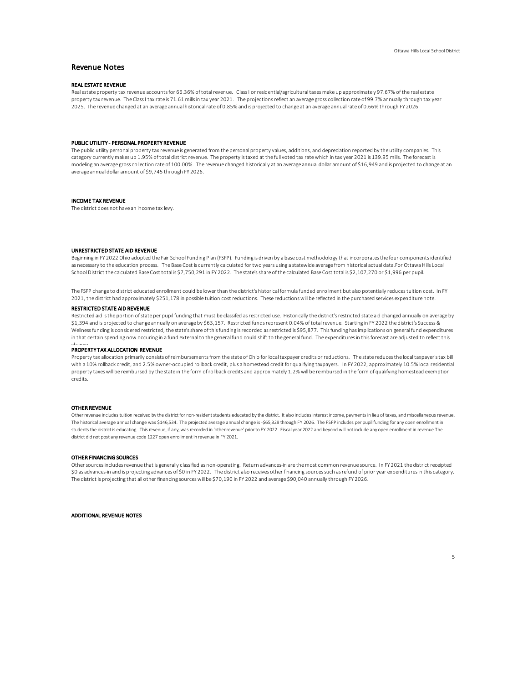## Revenue Notes

## REAL ESTATE REVENUE

Real estate property tax revenue accounts for 66.36% of total revenue. Class I or residential/agricultural taxes make up approximately 97.67% of the real estate property tax revenue. The Class I tax rate is 71.61 mills in tax year 2021. The projections reflect an average gross collection rate of 99.7% annually through tax year 2025. The revenue changed at an average annual historical rate of 0.85% and is projected to change at an average annual rate of 0.66% through FY 2026.

#### PUBLIC UTILITY - PERSONAL PROPERTY REVENUE

The public utility personal property tax revenue is generated from the personal property values, additions, and depreciation reported by the utility companies. This category currently makes up 1.95% of total district revenue. The property is taxed at the full voted tax rate which in tax year 2021 is 139.95 mills. The forecast is modeling an average gross collection rate of 100.00%. The revenue changed historically at an average annual dollar amount of \$16,949 and is projected to change at an average annual dollar amount of \$9,745 through FY 2026.

#### INCOME TAX REVENUE

The district does not have an income tax levy.

### UNRESTRICTED STATE AID REVENUE

Beginning in FY 2022 Ohio adopted the Fair School Funding Plan (FSFP). Funding is driven by a base cost methodology that incorporates the four components identified as necessary to the education process. The Base Cost is currently calculated for two years using a statewide average from historical actual data.For Ottawa Hills Local School District the calculated Base Cost total is \$7,750,291 in FY 2022. The state's share of the calculated Base Cost total is \$2,107,270 or \$1,996 per pupil.

The FSFP change to district educated enrollment could be lower than the district's historical formula funded enrollment but also potentially reduces tuition cost. In FY 2021, the district had approximately \$251,178 in possible tuition cost reductions. These reductions will be reflected in the purchased services expenditure note.

#### RESTRICTED STATE AID REVENUE

Restricted aid is the portion of state per pupil funding that must be classifed as restricted use. Historically the district's restricted state aid changed annually on average by \$1,394 and is projected to change annually on average by \$63,157. Restricted funds represent 0.04% of total revenue. Starting in FY 2022 the district's Success & Wellness funding is considered restricted, the state's share of this funding is recorded as restricted is \$95,877. This funding has implications on general fund expenditures in that certain spending now occuring in a fund external to the general fund could shift to the general fund. The expenditures in this forecast are adjusted to reflect this

# change<br>PROPERTY TAX ALLOCATION REVENUE

Property tax allocation primarily consists of reimbursements from the state of Ohio for local taxpayer credits or reductions. The state reduces the local taxpayer's tax bill with a 10% rollback credit, and 2.5% owner-occupied rollback credit, plus a homestead credit for qualifying taxpayers. In FY 2022, approximately 10.5% local residential property taxes will be reimbursed by the state in the form of rollback credits and approximately 1.2% will be reimbursed in the form of qualifying homestead exemption credits.

#### OTHER REVENUE

Other revenue includes tuition received by the district for non-resident students educated by the district. It also includes interest income, payments in lieu of taxes, and miscellaneous revenue. The historical average annual change was \$146,534. The projected average annual change is -\$65,328 through FY 2026. The FSFP includes per pupil funding for any open enrollment in students the district is educating. This revenue, if any, was recorded in 'other revenue' prior to FY 2022. Fiscal year 2022 and beyond will not include any open enrollment in revenue.The district did not post any revenue code 1227 open enrollment in revenue in FY 2021.

#### OTHER FINANCING SOURCES

Other sources includes revenue that is generally classified as non-operating. Return advances-in are the most common revenue source. In FY 2021 the district receipted \$0 as advances-in and is projecting advances of \$0 in FY 2022. The district also receives other financing sources such as refund of prior year expenditures in this category. The district is projecting that all other financing sources will be \$70,190 in FY 2022 and average \$90,040 annually through FY 2026.

ADDITIONAL REVENUE NOTES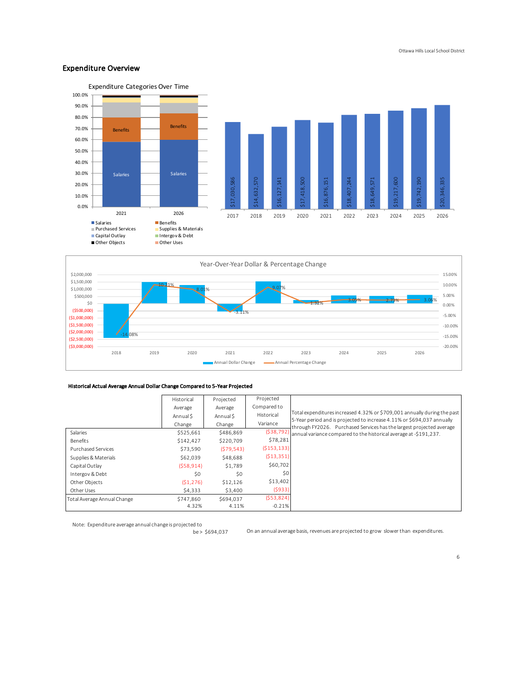## Expenditure Overview







Annual Dollar Change **Annual Percentage Change** 

## Historical Actual Average Annual Dollar Change Compared to 5-Year Projected

|                             | Historical | Projected  | Projected     |                                                                                                                                                |
|-----------------------------|------------|------------|---------------|------------------------------------------------------------------------------------------------------------------------------------------------|
|                             | Average    | Average    | Compared to   |                                                                                                                                                |
|                             | Annual S   | Annual S   | Historical    | Total expenditures increased 4.32% or \$709,001 annually during the past                                                                       |
|                             | Change     | Change     | Variance      | 5-Year period and is projected to increase 4.11% or \$694,037 annually<br>through FY2026. Purchased Services has the largest projected average |
| Salaries                    | \$525,661  | \$486,869  | (538, 792)    | annual variance compared to the historical average at -\$191,237.                                                                              |
| Benefits                    | \$142,427  | \$220,709  | \$78,281      |                                                                                                                                                |
| Purchased Services          | \$73,590   | (579, 543) | ( \$153, 133) |                                                                                                                                                |
| Supplies & Materials        | \$62,039   | \$48,688   | ( \$13, 351)  |                                                                                                                                                |
| Capital Outlay              | (558, 914) | \$1.789    | \$60,702      |                                                                                                                                                |
| Intergov & Debt             | \$0        | \$0        | \$0           |                                                                                                                                                |
| Other Objects               | (51, 276)  | \$12,126   | \$13,402      |                                                                                                                                                |
| Other Uses                  | \$4,333    | \$3,400    | (5933)        |                                                                                                                                                |
| Total Average Annual Change | \$747.860  | \$694.037  | (553,824)     |                                                                                                                                                |
|                             | 4.32%      | 4.11%      | $-0.21%$      |                                                                                                                                                |

Note: Expenditure average annual change is projected to

be> \$694,037

On an annual average basis, revenues are projected to grow slower than expenditures.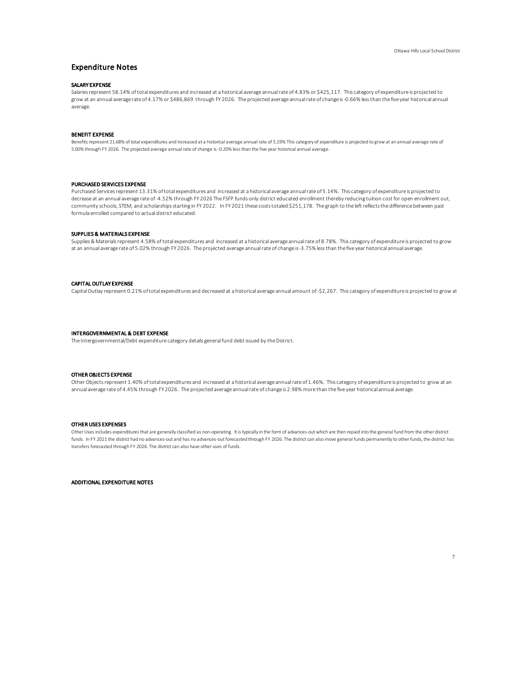## Expenditure Notes

## SALARY EXPENSE

Salaries represent 58.14% of total expenditures and increased at a historical average annual rate of 4.83% or \$425,117. This category of expenditure is projected to grow at an annual average rate of 4.17% or \$486,869 through FY 2026. The projected average annual rate of change is -0.66% less than the five year historical annual average.

#### BENEFIT EXPENSE

Benefits represent 21.68% of total expenditures and increased at a historical average annual rate of 5.19% This category of expenditure is projected to grow at an annual average rate of 5.00% through FY 2026. The projected average annual rate of change is -0.20% less than the five year historical annual average.

#### PURCHASED SERVICES EXPENSE

Purchased Services represent 13.31% of total expenditures and increased at a historical average annual rate of 5.14%. This category of expenditure is projected to decrease at an annual average rate of -4.52% through FY 2026 The FSFP funds only district educated enrollment thereby reducing tuition cost for open enrollment out, community schools, STEM, and scholarships starting in FY 2022. In FY 2021 these costs totaled \$251,178. The graph to the left reflects the difference between past formula enrolled compared to actual district educated.

#### SUPPLIES & MATERIALS EXPENSE

Supplies & Materials represent 4.58% of total expenditures and increased at a historical average annual rate of 8.78%. This category of expenditure is projected to grow at an annual average rate of 5.02% through FY 2026. The projected average annual rate of change is -3.75% less than the five year historical annual average.

#### CAPITAL OUTLAY EXPENSE

Capital Outlay represent 0.21% of total expenditures and decreased at a historical average annual amount of -\$2,267. This category of expenditure is projected to grow at

#### INTERGOVERNMENTAL & DEBT EXPENSE

The Intergovernmental/Debt expenditure category details general fund debt issued by the District.

## OTHER OBJECTS EXPENSE

Other Objects represent 1.40% of total expenditures and increased at a historical average annual rate of 1.46%. This category of expenditure is projected to grow at an annual average rate of 4.45% through FY 2026. The projected average annual rate of change is 2.98% more than the five year historical annual average.

#### OTHER USES EXPENSES

Other Uses includes expenditures that are generally classified as non-operating. It is typically in the form of advances-out which are then repaid into the general fund from the other district funds. In FY 2021 the district had no advances-out and has no advances-out forecasted through FY 2026. The district can also move general funds permanently to other funds, the district has transfers forecasted through FY 2026. The district can also have other uses of funds.

ADDITIONAL EXPENDITURE NOTES